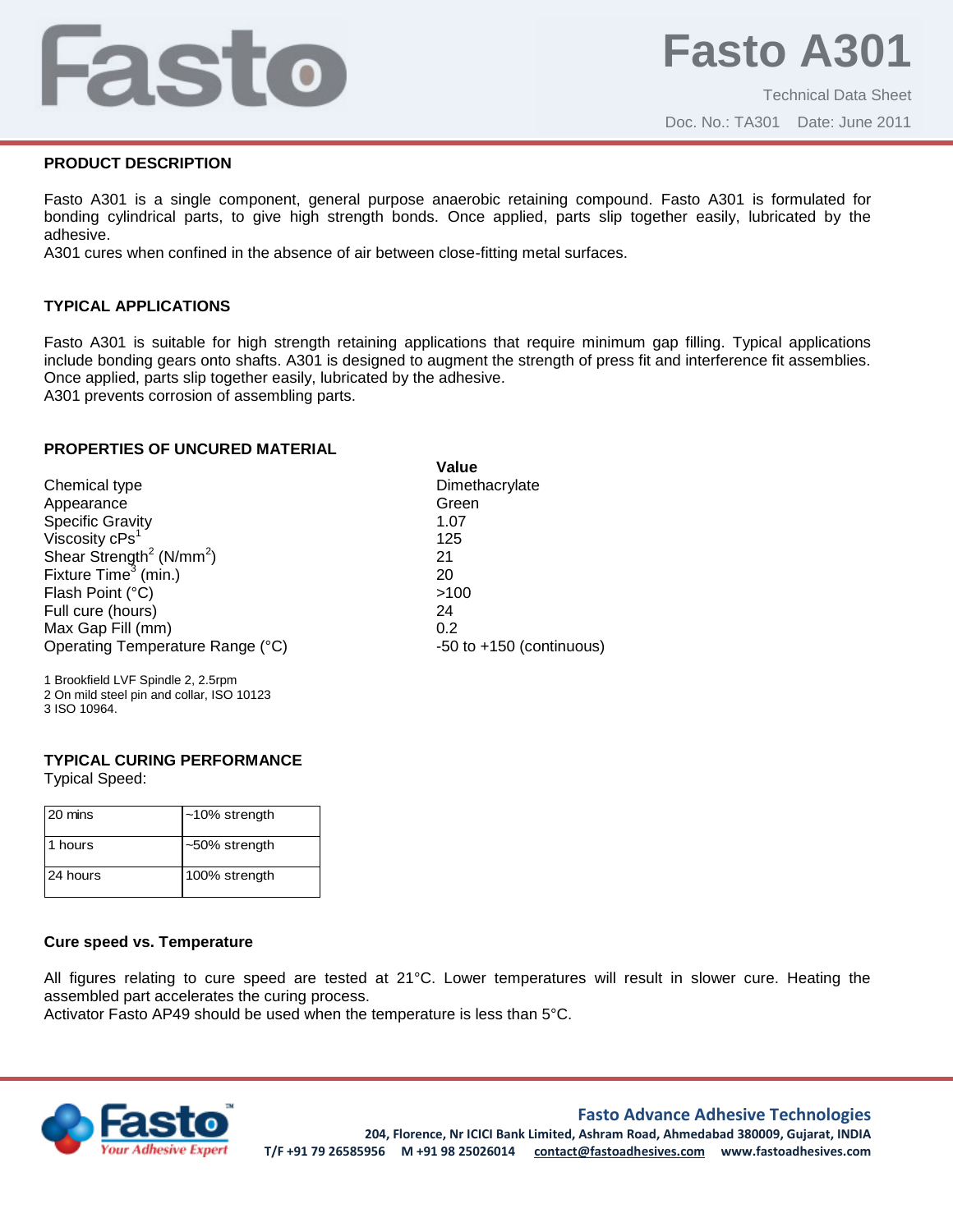# Fasto

Doc. No.: TA301 Date: June 2011

# **PRODUCT DESCRIPTION**

Fasto A301 is a single component, general purpose anaerobic retaining compound. Fasto A301 is formulated for bonding cylindrical parts, to give high strength bonds. Once applied, parts slip together easily, lubricated by the adhesive.

A301 cures when confined in the absence of air between close-fitting metal surfaces.

# **TYPICAL APPLICATIONS**

Fasto A301 is suitable for high strength retaining applications that require minimum gap filling. Typical applications include bonding gears onto shafts. A301 is designed to augment the strength of press fit and interference fit assemblies. Once applied, parts slip together easily, lubricated by the adhesive.

A301 prevents corrosion of assembling parts.

### **PROPERTIES OF UNCURED MATERIAL**

|                                                  | Value                        |
|--------------------------------------------------|------------------------------|
| Chemical type                                    | Dimethacrylate               |
| Appearance                                       | Green                        |
| <b>Specific Gravity</b>                          | 1.07                         |
| Viscosity cPs <sup>1</sup>                       | 125                          |
| Shear Strength <sup>2</sup> (N/mm <sup>2</sup> ) | 21                           |
| Fixture Time <sup>3</sup> (min.)                 | 20                           |
| Flash Point (°C)                                 | >100                         |
| Full cure (hours)                                | 24                           |
| Max Gap Fill (mm)                                | 0.2                          |
| Operating Temperature Range (°C)                 | $-50$ to $+150$ (continuous) |
|                                                  |                              |

1 Brookfield LVF Spindle 2, 2.5rpm 2 On mild steel pin and collar, ISO 10123 3 ISO 10964.

### **TYPICAL CURING PERFORMANCE**

Typical Speed:

| 20 mins  | $~10\%$ strength |
|----------|------------------|
| 11 hours | ~50% strength    |
| 24 hours | 100% strength    |

# **Cure speed vs. Temperature**

All figures relating to cure speed are tested at 21°C. Lower temperatures will result in slower cure. Heating the assembled part accelerates the curing process.

Activator Fasto AP49 should be used when the temperature is less than 5°C.



# **Fasto Advance Adhesive Technologies**

**204, Florence, Nr ICICI Bank Limited, Ashram Road, Ahmedabad 380009, Gujarat, INDIA T/F +91 79 26585956 M +91 98 25026014 contact@fastoadhesives.com www.fastoadhesives.com**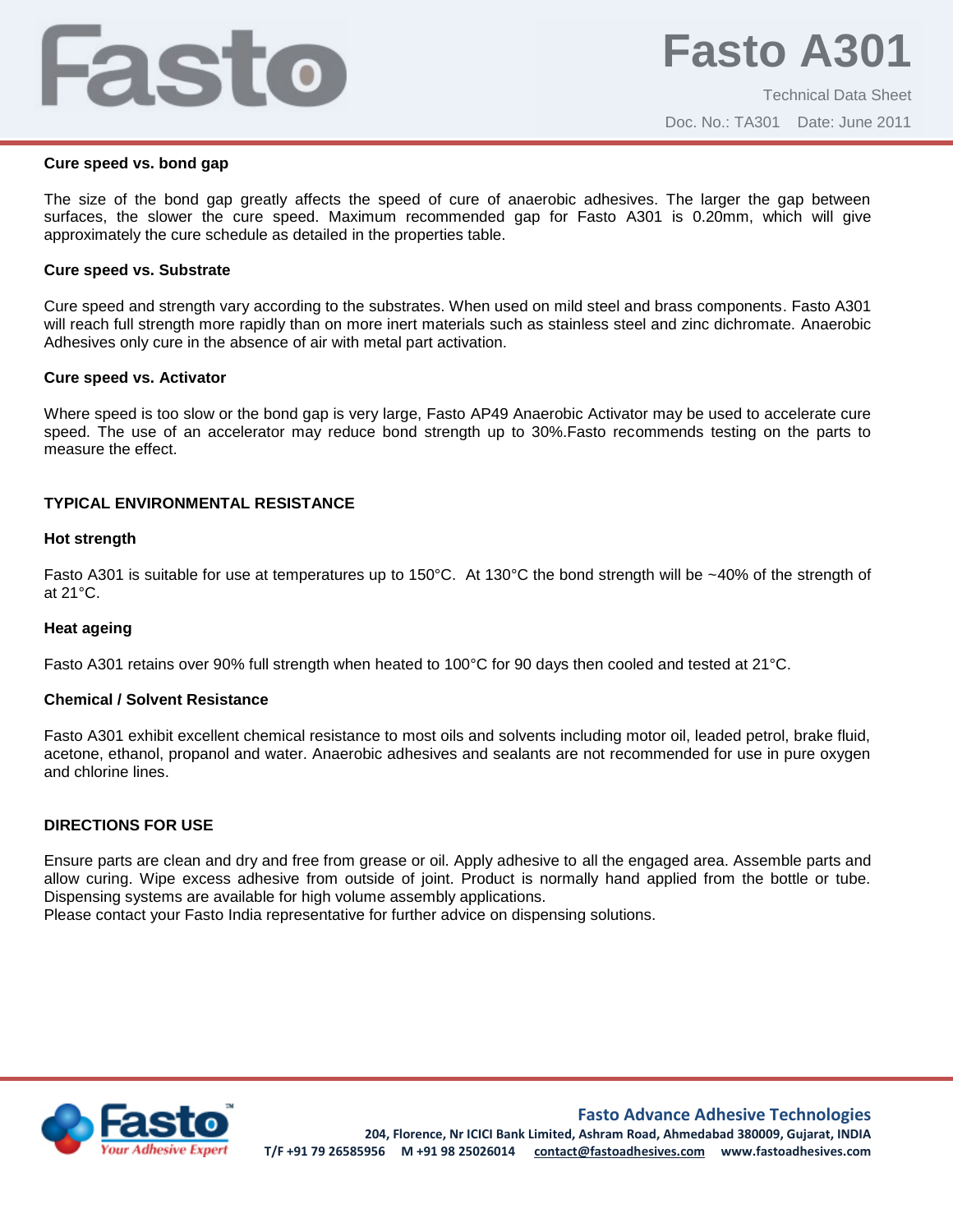# Fasto

## **Cure speed vs. bond gap**

The size of the bond gap greatly affects the speed of cure of anaerobic adhesives. The larger the gap between surfaces, the slower the cure speed. Maximum recommended gap for Fasto A301 is 0.20mm, which will give approximately the cure schedule as detailed in the properties table.

### **Cure speed vs. Substrate**

Cure speed and strength vary according to the substrates. When used on mild steel and brass components. Fasto A301 will reach full strength more rapidly than on more inert materials such as stainless steel and zinc dichromate. Anaerobic Adhesives only cure in the absence of air with metal part activation.

### **Cure speed vs. Activator**

Where speed is too slow or the bond gap is very large, Fasto AP49 Anaerobic Activator may be used to accelerate cure speed. The use of an accelerator may reduce bond strength up to 30%.Fasto recommends testing on the parts to measure the effect.

# **TYPICAL ENVIRONMENTAL RESISTANCE**

### **Hot strength**

Fasto A301 is suitable for use at temperatures up to 150°C. At 130°C the bond strength will be ~40% of the strength of at 21°C.

# **Heat ageing**

Fasto A301 retains over 90% full strength when heated to 100°C for 90 days then cooled and tested at 21°C.

# **Chemical / Solvent Resistance**

Fasto A301 exhibit excellent chemical resistance to most oils and solvents including motor oil, leaded petrol, brake fluid, acetone, ethanol, propanol and water. Anaerobic adhesives and sealants are not recommended for use in pure oxygen and chlorine lines.

# **DIRECTIONS FOR USE**

Ensure parts are clean and dry and free from grease or oil. Apply adhesive to all the engaged area. Assemble parts and allow curing. Wipe excess adhesive from outside of joint. Product is normally hand applied from the bottle or tube. Dispensing systems are available for high volume assembly applications.

Please contact your Fasto India representative for further advice on dispensing solutions.



**Fasto Advance Adhesive Technologies**

**204, Florence, Nr ICICI Bank Limited, Ashram Road, Ahmedabad 380009, Gujarat, INDIA T/F +91 79 26585956 M +91 98 25026014 contact@fastoadhesives.com www.fastoadhesives.com**